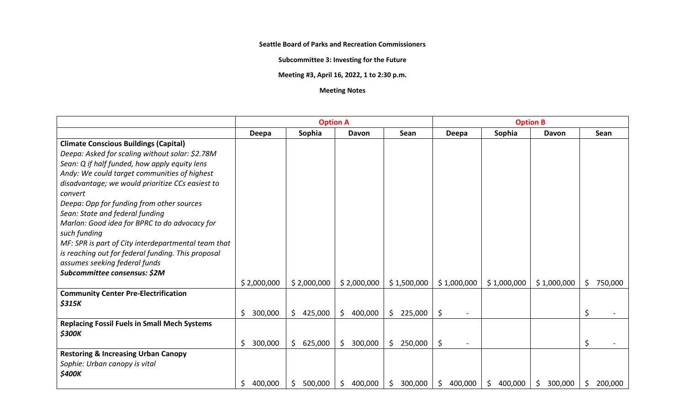**Seattle Board of Parks and Recreation Commissioners**

**Subcommittee 3: Investing for the Future**

**Meeting #3, April 16, 2022, 1 to 2:30 p.m.**

## **Meeting Notes**

|                                                                                                                                                                                                                                                                                                                                                                                                                                                                         | <b>Option A</b> |                         |               |               | <b>Option B</b> |                |               |               |
|-------------------------------------------------------------------------------------------------------------------------------------------------------------------------------------------------------------------------------------------------------------------------------------------------------------------------------------------------------------------------------------------------------------------------------------------------------------------------|-----------------|-------------------------|---------------|---------------|-----------------|----------------|---------------|---------------|
|                                                                                                                                                                                                                                                                                                                                                                                                                                                                         | Deepa           | Sophia                  | Davon         | Sean          | Deepa           | Sophia         | Davon         | <b>Sean</b>   |
| <b>Climate Conscious Buildings (Capital)</b><br>Deepa: Asked for scaling without solar: \$2.78M<br>Sean: Q if half funded, how apply equity lens<br>Andy: We could target communities of highest<br>disadvantage; we would prioritize CCs easiest to<br>convert<br>Deepa: Opp for funding from other sources<br>Sean: State and federal funding<br>Marlon: Good idea for BPRC to do advocacy for<br>such funding<br>MF: SPR is part of City interdepartmental team that |                 |                         |               |               |                 |                |               |               |
| is reaching out for federal funding. This proposal<br>assumes seeking federal funds<br>Subcommittee consensus: \$2M                                                                                                                                                                                                                                                                                                                                                     |                 |                         |               |               |                 |                |               |               |
|                                                                                                                                                                                                                                                                                                                                                                                                                                                                         | \$2,000,000     | \$2,000,000             | \$2,000,000   | \$1,500,000   | \$1,000,000     | \$1,000,000    | \$1,000,000   | \$<br>750,000 |
| <b>Community Center Pre-Electrification</b><br>\$315K                                                                                                                                                                                                                                                                                                                                                                                                                   | \$<br>300,000   | \$<br>425,000           | \$<br>400,000 | Ś.<br>225,000 | \$              |                |               | Ś             |
| <b>Replacing Fossil Fuels in Small Mech Systems</b><br>\$300K                                                                                                                                                                                                                                                                                                                                                                                                           | \$<br>300,000   | 625,000<br>$\mathsf{S}$ | \$<br>300,000 | \$<br>250,000 | \$              |                |               | Ś             |
| <b>Restoring &amp; Increasing Urban Canopy</b><br>Sophie: Urban canopy is vital<br>\$400K                                                                                                                                                                                                                                                                                                                                                                               | 400,000<br>\$   | 500,000<br>S            | 400,000<br>\$ | 300,000<br>\$ | 400,000<br>\$   | 400,000<br>\$. | 300,000<br>\$ | 200,000<br>\$ |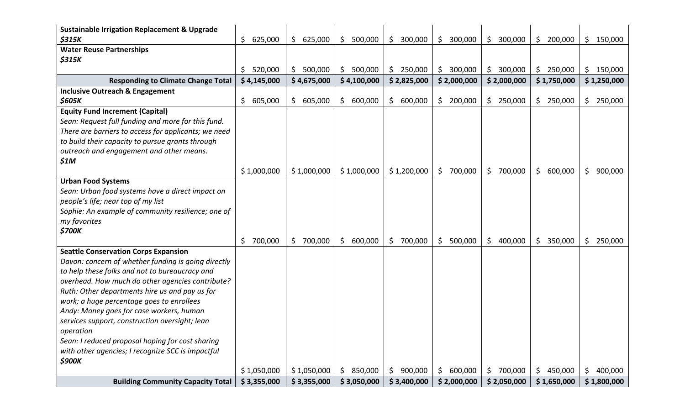| <b>Sustainable Irrigation Replacement &amp; Upgrade</b> |                |             |                |               |                |               |                |                |
|---------------------------------------------------------|----------------|-------------|----------------|---------------|----------------|---------------|----------------|----------------|
| \$315K                                                  | \$<br>625,000  | \$625,000   | \$.<br>500,000 | 300,000<br>\$ | 300,000<br>\$  | 300,000<br>\$ | \$<br>200,000  | \$<br>150,000  |
| <b>Water Reuse Partnerships</b>                         |                |             |                |               |                |               |                |                |
| \$315K                                                  |                |             |                | \$            |                |               |                |                |
|                                                         | 520,000<br>\$. | \$500,000   | \$.<br>500,000 | 250,000       | \$.<br>300,000 | \$<br>300,000 | \$250,000      | \$.<br>150,000 |
| <b>Responding to Climate Change Total</b>               | \$4,145,000    | \$4,675,000 | \$4,100,000    | \$2,825,000   | \$2,000,000    | \$2,000,000   | \$1,750,000    | \$1,250,000    |
| <b>Inclusive Outreach &amp; Engagement</b>              |                |             |                |               |                |               |                |                |
| \$605K                                                  | \$<br>605,000  | \$605,000   | \$<br>600,000  | \$<br>600,000 | \$<br>200,000  | \$<br>250,000 | \$<br>250,000  | \$<br>250,000  |
| <b>Equity Fund Increment (Capital)</b>                  |                |             |                |               |                |               |                |                |
| Sean: Request full funding and more for this fund.      |                |             |                |               |                |               |                |                |
| There are barriers to access for applicants; we need    |                |             |                |               |                |               |                |                |
| to build their capacity to pursue grants through        |                |             |                |               |                |               |                |                |
| outreach and engagement and other means.                |                |             |                |               |                |               |                |                |
| \$1M                                                    |                |             |                |               |                |               |                |                |
|                                                         | \$1,000,000    | \$1,000,000 | \$1,000,000    | \$1,200,000   | 700,000<br>\$  | \$<br>700,000 | 600,000<br>\$  | \$<br>900,000  |
| <b>Urban Food Systems</b>                               |                |             |                |               |                |               |                |                |
| Sean: Urban food systems have a direct impact on        |                |             |                |               |                |               |                |                |
| people's life; near top of my list                      |                |             |                |               |                |               |                |                |
| Sophie: An example of community resilience; one of      |                |             |                |               |                |               |                |                |
| my favorites                                            |                |             |                |               |                |               |                |                |
| \$700K                                                  |                |             |                |               |                |               |                |                |
|                                                         | 700,000<br>\$. | \$700,000   | \$.<br>600,000 | \$<br>700,000 | 500,000<br>\$. | \$<br>400,000 | 350,000<br>\$  | \$.<br>250,000 |
| <b>Seattle Conservation Corps Expansion</b>             |                |             |                |               |                |               |                |                |
| Davon: concern of whether funding is going directly     |                |             |                |               |                |               |                |                |
| to help these folks and not to bureaucracy and          |                |             |                |               |                |               |                |                |
| overhead. How much do other agencies contribute?        |                |             |                |               |                |               |                |                |
| Ruth: Other departments hire us and pay us for          |                |             |                |               |                |               |                |                |
| work; a huge percentage goes to enrollees               |                |             |                |               |                |               |                |                |
| Andy: Money goes for case workers, human                |                |             |                |               |                |               |                |                |
| services support, construction oversight; lean          |                |             |                |               |                |               |                |                |
| operation                                               |                |             |                |               |                |               |                |                |
| Sean: I reduced proposal hoping for cost sharing        |                |             |                |               |                |               |                |                |
| with other agencies; I recognize SCC is impactful       |                |             |                |               |                |               |                |                |
| \$900K                                                  |                |             |                |               |                |               |                |                |
|                                                         | \$1,050,000    | \$1,050,000 | 850,000<br>\$. | \$<br>900,000 | 600,000<br>\$. | 700,000<br>\$ | 450,000<br>\$. | \$<br>400,000  |
| <b>Building Community Capacity Total</b>                | \$3,355,000    | \$3,355,000 | \$3,050,000    | \$3,400,000   | \$2,000,000    | \$2,050,000   | \$1,650,000    | \$1,800,000    |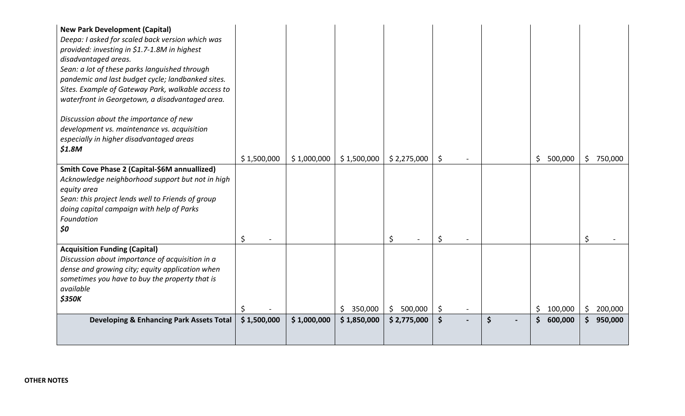| <b>New Park Development (Capital)</b><br>Deepa: I asked for scaled back version which was<br>provided: investing in \$1.7-1.8M in highest<br>disadvantaged areas.<br>Sean: a lot of these parks languished through<br>pandemic and last budget cycle; landbanked sites.<br>Sites. Example of Gateway Park, walkable access to<br>waterfront in Georgetown, a disadvantaged area.<br>Discussion about the importance of new<br>development vs. maintenance vs. acquisition<br>especially in higher disadvantaged areas<br>\$1.8M |             |             |                |                           |                      |                     |                    |
|---------------------------------------------------------------------------------------------------------------------------------------------------------------------------------------------------------------------------------------------------------------------------------------------------------------------------------------------------------------------------------------------------------------------------------------------------------------------------------------------------------------------------------|-------------|-------------|----------------|---------------------------|----------------------|---------------------|--------------------|
|                                                                                                                                                                                                                                                                                                                                                                                                                                                                                                                                 | \$1,500,000 | \$1,000,000 | \$1,500,000    | \$2,275,000               | \$                   | \$500,000           | 750,000<br>\$      |
| Smith Cove Phase 2 (Capital-\$6M annuallized)<br>Acknowledge neighborhood support but not in high<br>equity area<br>Sean: this project lends well to Friends of group<br>doing capital campaign with help of Parks<br>Foundation<br>\$0                                                                                                                                                                                                                                                                                         | \$          |             |                | \$                        | \$                   |                     | \$                 |
| <b>Acquisition Funding (Capital)</b><br>Discussion about importance of acquisition in a<br>dense and growing city; equity application when<br>sometimes you have to buy the property that is<br>available<br><b>\$350K</b>                                                                                                                                                                                                                                                                                                      |             |             | 350,000<br>\$. | 500,000<br>$\mathsf{S}^-$ | \$                   | \$<br>100,000       | $\zeta$<br>200,000 |
| <b>Developing &amp; Enhancing Park Assets Total</b>                                                                                                                                                                                                                                                                                                                                                                                                                                                                             | \$1,500,000 | \$1,000,000 | \$1,850,000    | \$2,775,000               | $\boldsymbol{\zeta}$ | \$<br>\$<br>600,000 | 950,000<br>\$      |